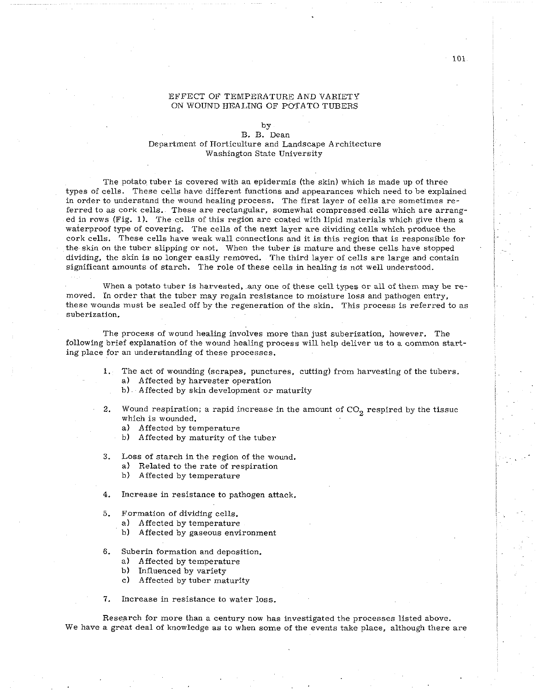## EFFECT OF TEMPERATURE AND VARIETY ON WOUND HEALING OF POTATO TUBERS

by

## B. B. Dean Department of Horticulture and Landscape Architecture Washington State University

The potato tuber is covered with an epidermis (the skin) which is made up of three types of cells. These cells have different functions and appearances which need to he explained in order to understand the wound healing process. The first layer of cells are sometimes referred to as cork cells. These are rectangular, somewhat compressedcells which are arranged in rows (Fig. 1). The cells of this region are coated with lipid materials which give them a waterproof type of covering. The cells of the next layer are dividing cells which produce the cork cells. These cells have weak wall connections and it is this region that is responsible for the skin on the tuber slipping or not. When the tuber is mature and these cells have stopped dividing, the skin is no longer easily removed. The third layer of cells are large and contain significant amounts of starch. The role of these cells in healing is not well understood.

When a potato tuber is harvested, any one of these cell types or all of them may be removed. In order that the tuber may regain resistance to moisture loss and pathogen entry, these wounds must be sealed off by the regeneration of the skin. This process is referred to as suberization.

The process of wound healing involves more than just suberization, however. The following brief explanation of the wound healing process will help deliver us to a common starting place for an understanding of these processes.

1. The act of wounding (scrapes, punctures, cutting) from harvesting of the tubers. a) Affected by harvester operation

b) Affected by skin development or maturity

- 2. Wound respiration; a rapid increase in the amount of CO<sub>2</sub> respired by the tissue which is wounded.
	- a) Affected by temperature
	- b) Affected by maturity of the tuber
- **3.** Loss of starch in the region of the wound.
	- a) Related to the rate of respiration
	- h) Affected by temperature
- **4.** Increase in resistance to pathogen attack.
- 5. Formation of dividing cells.
	- a) Affected by temperature
	- h) Affected hy gaseous environment
- *6.* Suberin formation and deposition.
	- a) Affected by temperature
	- b) Influenced by variety
	- C) Affected by tuber maturity
- **7.** Increase in resistance to water loss.

Research for more than a century now has investigated the processes listed above. We have a great deal of knowledge as to when some of the events take place, although there are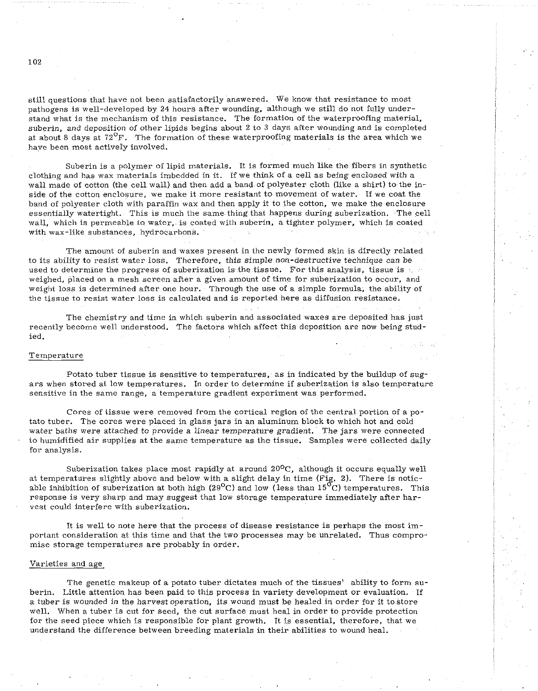still questions that have not been satisfactorily answered. We know that resistance to most pathogens is well-developed by 24 hours after wounding, although we still do not fully understand what is the mechanism of this resistance. The formation of the waterproofing material, suberin, and deposition of other lipids begins about 2 to **3** days after wounding and is completed at about 8 days at **72O~.** The formation of these waterproofing materials is the area which we have been most actively involved.

Suberin is a polymer of lipid materials. It is formed much like the fibers in synthetic clothing and has wax materials imbedded in it. If we think of a cell as being enclosed with a wall made of cotton (the cell wall) and then add a band of polyester cloth (like a shirt) to the inside of the cotton enclosure, we make it more resistant to movement of water. If we coat the band of polyester cloth with paraffin wax and then apply it to the cotton, we make the enclosure essentially watertight. This is much the samething that happens during suberization. The cell wall, which is permeable to water, is coated with suberin, a tighter polymer, which is coated with wax-like substances, hydrocarbons.

The amount of suberin and waxes present in the newly formed skin is directly related to its ability to resist water loss. Therefore, this simple non-destructive technique can be used to determine the progress of suberization is the tissue. For this analysis, tissue is  $\sim$ weighed, placed on a mesh screen after a given amount of time for suberization to occur, and weight loss is determined after one hour. Through the use of a simple formula, the ability of the tissue to resist water loss is calculated and is reported here as diffusion resistance.

The chemistry and time in which suberin and associated waxes are deposited has just recently become well understood. The factors which affect this deposition are now being studied.

## Temperature

Potato tuber tissue is sensitive to temperatures, as in indicated by the buildup of sugars when stored at low temperatures. In order to determine if suberization is also temperature sensitive in the same range, a temperature gradient experiment was performed.

Cores of tissue were removed from the cortical region of the central portion of a potato tuber. The cores were placed in glass jars in an aluminum block to which hot and cold water baths were attached to provide a linear temperature gradient. The jars were connected to humidified air supplies at the same temperature as the tissue. Samples were collected daily for analysis.

Suberization takes place most rapidly at around  $20^{\circ}$ C, although it occurs equally well at temperatures slightly above and below with a slight delay in time (Fig. 2). There is noticable inhibition of suberization at both high (29<sup>o</sup>C) and low (less than 15<sup>o</sup>C) temperatures. This response is very sharp and may suggest that low storage temperature immediately after harvest could interfere with suberization.

It is well to note here that the process of disease resistance is perhaps the most important consideration at this time and that the two processes may be unrelated. Thus compromise storage temperatures are probably in order.

## Varieties and age

The genetic makeup of a potato tuber dictates much of the tissues' ability to form suberin. Little attention has been paid to this process in variety development or evaluation. If a tuber is wounded in the harvest operation, its wound must be healed in order for it tostore well. When a tuber is cut for seed, the cut surface must heal in order to provide protection for the seed piece which is responsible for plant growth. It is essential, therefore, that we understand the difference between breeding materials in their abilities to wound heal.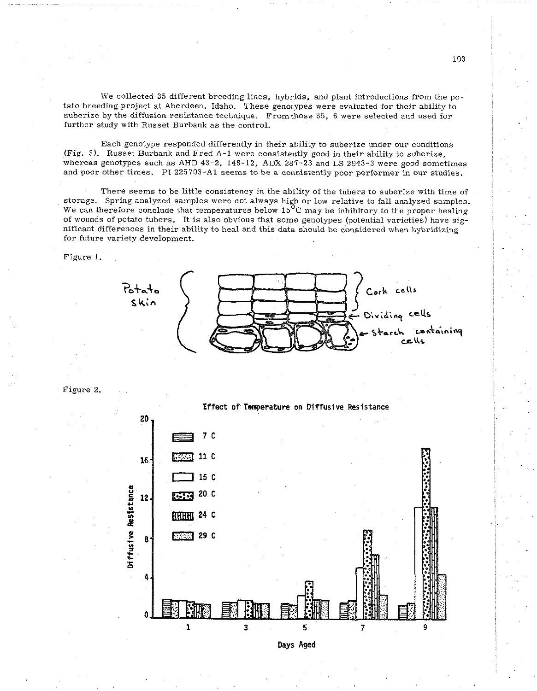We collected 35 different breeding lines, hybrids, and plant introductions from the potato breeding project at Aberdeen, Idaho. These genotypes were evaluated for their ability to suberize by the diffusion resistance technique. Fromthose 35, 6 were selected and used for further study with Russet Burbank as the control.

Each genotype responded differently in their ability to suberize under our conditions (Fig. 3). Russet Burbank and Fred A-1 were consistently good in their ability to suberize, whereas genotypes such as AHD 43-2, 146-12, ADX 287-23 and LS 2943-3 were good sometimes and poor other times. PI 225703-A1 seems to be a consistently poor performer in our studies.

There seems to be little consistency in the ability of the tubers to suberize with time of storage. Spring analyzed samples were not always high or low relative to fall analyzed samples. We can therefore conclude that temperatures below  $15^{0}$ C may be inhibitory to the proper healing of wounds of potato tubers. It is also obvious that some genotypes (potential varieties) have significant differences in their ability to heal and this data should be considered when hybridizing for future variety development.

Figure 1.



Figure 2.